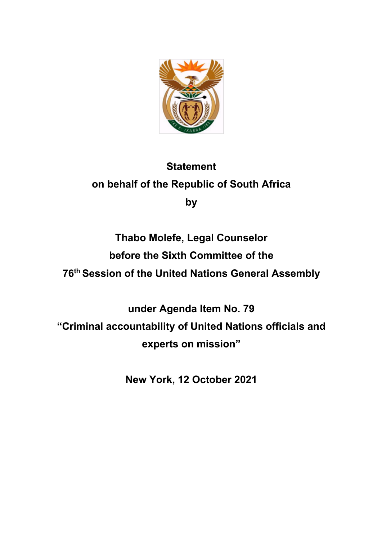

## **Statement on behalf of the Republic of South Africa by**

## **Thabo Molefe, Legal Counselor before the Sixth Committee of the 76th Session of the United Nations General Assembly**

**under Agenda Item No. 79 "Criminal accountability of United Nations officials and experts on mission"**

**New York, 12 October 2021**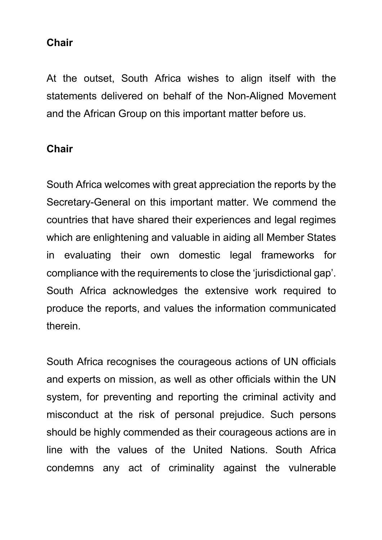## **Chair**

At the outset, South Africa wishes to align itself with the statements delivered on behalf of the Non-Aligned Movement and the African Group on this important matter before us.

## **Chair**

South Africa welcomes with great appreciation the reports by the Secretary-General on this important matter. We commend the countries that have shared their experiences and legal regimes which are enlightening and valuable in aiding all Member States in evaluating their own domestic legal frameworks for compliance with the requirements to close the 'jurisdictional gap'. South Africa acknowledges the extensive work required to produce the reports, and values the information communicated therein.

South Africa recognises the courageous actions of UN officials and experts on mission, as well as other officials within the UN system, for preventing and reporting the criminal activity and misconduct at the risk of personal prejudice. Such persons should be highly commended as their courageous actions are in line with the values of the United Nations. South Africa condemns any act of criminality against the vulnerable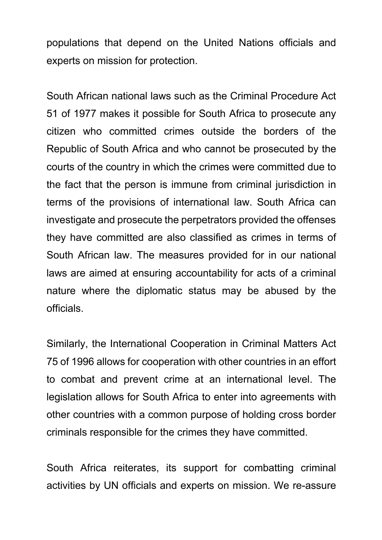populations that depend on the United Nations officials and experts on mission for protection.

South African national laws such as the Criminal Procedure Act 51 of 1977 makes it possible for South Africa to prosecute any citizen who committed crimes outside the borders of the Republic of South Africa and who cannot be prosecuted by the courts of the country in which the crimes were committed due to the fact that the person is immune from criminal jurisdiction in terms of the provisions of international law. South Africa can investigate and prosecute the perpetrators provided the offenses they have committed are also classified as crimes in terms of South African law. The measures provided for in our national laws are aimed at ensuring accountability for acts of a criminal nature where the diplomatic status may be abused by the officials.

Similarly, the International Cooperation in Criminal Matters Act 75 of 1996 allows for cooperation with other countries in an effort to combat and prevent crime at an international level. The legislation allows for South Africa to enter into agreements with other countries with a common purpose of holding cross border criminals responsible for the crimes they have committed.

South Africa reiterates, its support for combatting criminal activities by UN officials and experts on mission. We re-assure